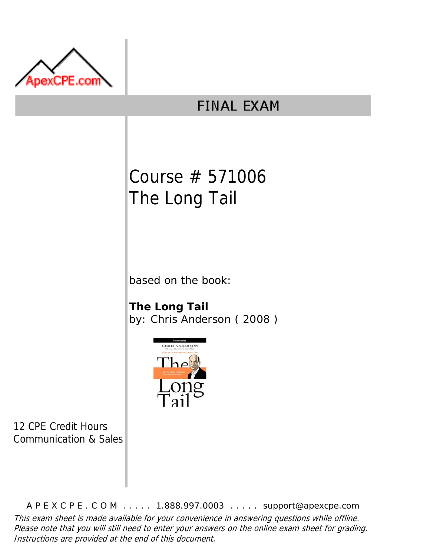

# **FINAL EXAM**

# Course # 571006 The Long Tail

based on the book:

**The Long Tail** by: Chris Anderson ( 2008 )



12 CPE Credit Hours Communication & Sales

A P E X C P E . C O M . . . . . 1.888.997.0003 . . . . . support@apexcpe.com This exam sheet is made available for your convenience in answering questions while offline. Please note that you will still need to enter your answers on the online exam sheet for grading. Instructions are provided at the end of this document.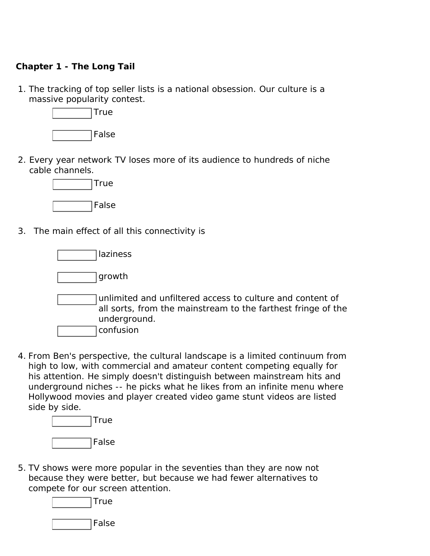## **Chapter 1 - The Long Tail**

1. The tracking of top seller lists is a national obsession. Our culture is a massive popularity contest.



2. Every year network TV loses more of its audience to hundreds of niche cable channels.



3. The main effect of all this connectivity is

laziness

growth

unlimited and unfiltered access to culture and content of all sorts, from the mainstream to the farthest fringe of the underground.

confusion

4. From Ben's perspective, the cultural landscape is a limited continuum from high to low, with commercial and amateur content competing equally for his attention. He simply doesn't distinguish between mainstream hits and underground niches -- he picks what he likes from an infinite menu where Hollywood movies and player created video game stunt videos are listed side by side.



5. TV shows were more popular in the seventies than they are now not because they were better, but because we had fewer alternatives to compete for our screen attention.

**True** 

False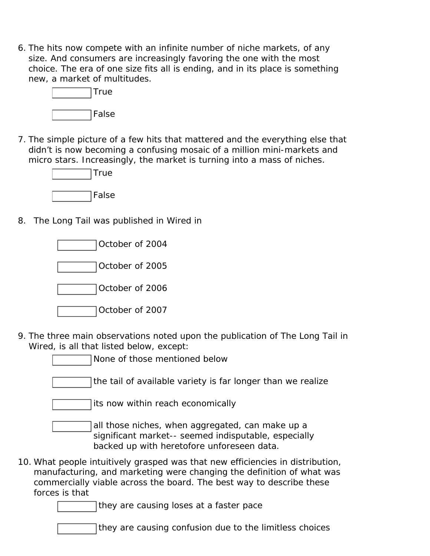6. The hits now compete with an infinite number of niche markets, of any size. And consumers are increasingly favoring the one with the most choice. The era of one size fits all is ending, and in its place is something new, a market of multitudes.



7. The simple picture of a few hits that mattered and the everything else that didn't is now becoming a confusing mosaic of a million mini-markets and micro stars. Increasingly, the market is turning into a mass of niches.



8. The Long Tail was published in Wired in



- 9. The three main observations noted upon the publication of The Long Tail in Wired, is all that listed below, except:
	- None of those mentioned below
	- the tail of available variety is far longer than we realize

its now within reach economically

all those niches, when aggregated, can make up a significant market-- seemed indisputable, especially backed up with heretofore unforeseen data.

10. What people intuitively grasped was that new efficiencies in distribution, manufacturing, and marketing were changing the definition of what was commercially viable across the board. The best way to describe these forces is that

they are causing loses at a faster pace

they are causing confusion due to the limitless choices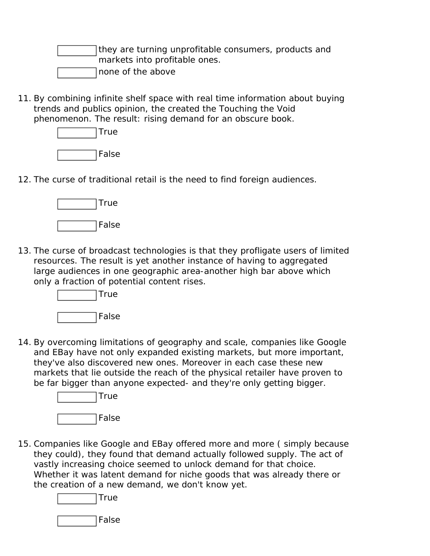they are turning unprofitable consumers, products and markets into profitable ones. none of the above

11. By combining infinite shelf space with real time information about buying trends and publics opinion, the created the Touching the Void phenomenon. The result: rising demand for an obscure book.



12. The curse of traditional retail is the need to find foreign audiences.



13. The curse of broadcast technologies is that they profligate users of limited resources. The result is yet another instance of having to aggregated large audiences in one geographic area-another high bar above which only a fraction of potential content rises.



14. By overcoming limitations of geography and scale, companies like Google and EBay have not only expanded existing markets, but more important, they've also discovered new ones. Moreover in each case these new markets that lie outside the reach of the physical retailer have proven to be far bigger than anyone expected- and they're only getting bigger.



15. Companies like Google and EBay offered more and more ( simply because they could), they found that demand actually followed supply. The act of vastly increasing choice seemed to unlock demand for that choice. Whether it was latent demand for niche goods that was already there or the creation of a new demand, we don't know yet.



False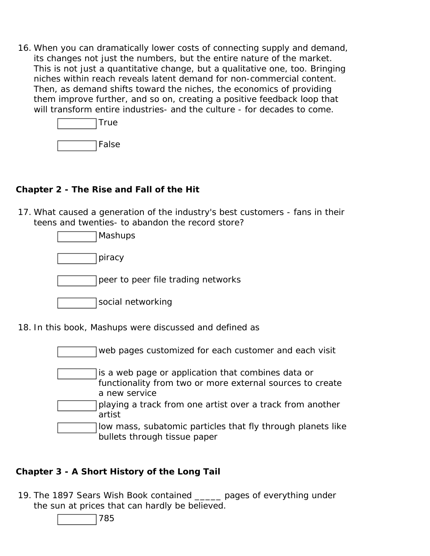16. When you can dramatically lower costs of connecting supply and demand, its changes not just the numbers, but the entire nature of the market. This is not just a quantitative change, but a qualitative one, too. Bringing niches within reach reveals latent demand for non-commercial content. Then, as demand shifts toward the niches, the economics of providing them improve further, and so on, creating a positive feedback loop that will transform entire industries- and the culture - for decades to come.

| True  |
|-------|
| False |

# **Chapter 2 - The Rise and Fall of the Hit**

17. What caused a generation of the industry's best customers - fans in their teens and twenties- to abandon the record store?

18. In this book, Mashups were discussed and defined as

web pages customized for each customer and each visit is a web page or application that combines data or functionality from two or more external sources to create a new service playing a track from one artist over a track from another artist low mass, subatomic particles that fly through planets like bullets through tissue paper

# **Chapter 3 - A Short History of the Long Tail**

19. The 1897 Sears Wish Book contained \_\_\_\_\_ pages of everything under the sun at prices that can hardly be believed.

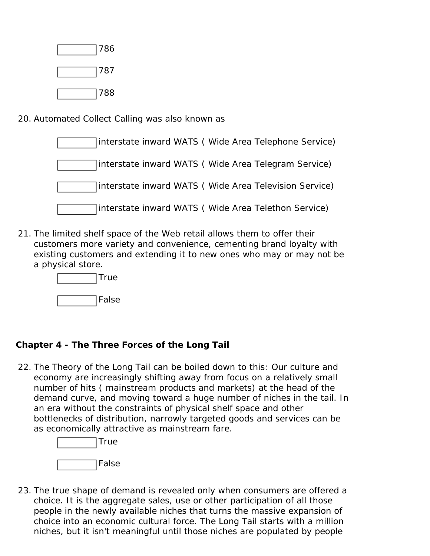| 786 |
|-----|
| 787 |
| 788 |

20. Automated Collect Calling was also known as

| interstate inward WATS (Wide Area Telephone Service)  |
|-------------------------------------------------------|
| interstate inward WATS (Wide Area Telegram Service)   |
| interstate inward WATS (Wide Area Television Service) |
| interstate inward WATS (Wide Area Telethon Service)   |

21. The limited shelf space of the Web retail allows them to offer their customers more variety and convenience, cementing brand loyalty with existing customers and extending it to new ones who may or may not be a physical store.



# **Chapter 4 - The Three Forces of the Long Tail**

22. The Theory of the Long Tail can be boiled down to this: Our culture and economy are increasingly shifting away from focus on a relatively small number of hits ( mainstream products and markets) at the head of the demand curve, and moving toward a huge number of niches in the tail. In an era without the constraints of physical shelf space and other bottlenecks of distribution, narrowly targeted goods and services can be as economically attractive as mainstream fare.



23. The true shape of demand is revealed only when consumers are offered a choice. It is the aggregate sales, use or other participation of all those people in the newly available niches that turns the massive expansion of choice into an economic cultural force. The Long Tail starts with a million niches, but it isn't meaningful until those niches are populated by people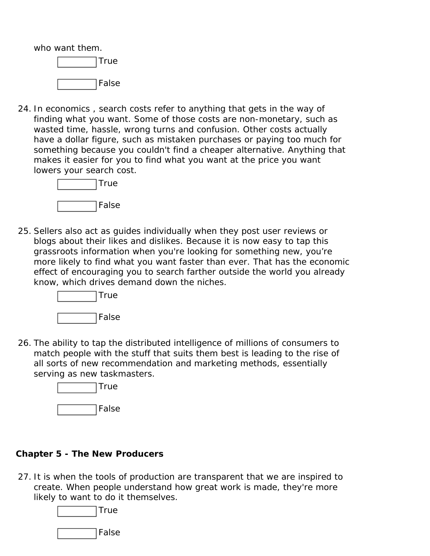who want them.



24. In economics , search costs refer to anything that gets in the way of finding what you want. Some of those costs are non-monetary, such as wasted time, hassle, wrong turns and confusion. Other costs actually have a dollar figure, such as mistaken purchases or paying too much for something because you couldn't find a cheaper alternative. Anything that makes it easier for you to find what you want at the price you want lowers your search cost.



25. Sellers also act as guides individually when they post user reviews or blogs about their likes and dislikes. Because it is now easy to tap this grassroots information when you're looking for something new, you're more likely to find what you want faster than ever. That has the economic effect of encouraging you to search farther outside the world you already know, which drives demand down the niches.



26. The ability to tap the distributed intelligence of millions of consumers to match people with the stuff that suits them best is leading to the rise of all sorts of new recommendation and marketing methods, essentially serving as new taskmasters.



# **Chapter 5 - The New Producers**

27. It is when the tools of production are transparent that we are inspired to create. When people understand how great work is made, they're more likely to want to do it themselves.

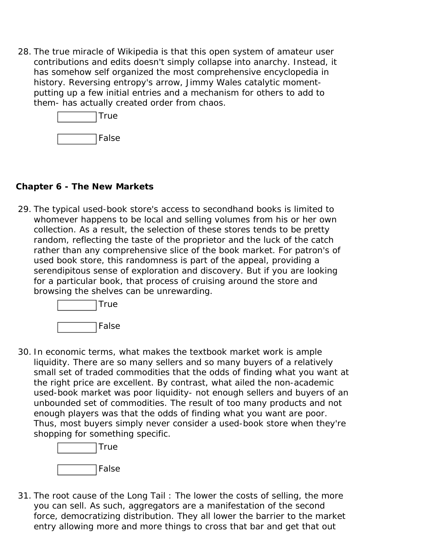28. The true miracle of Wikipedia is that this open system of amateur user contributions and edits doesn't simply collapse into anarchy. Instead, it has somehow self organized the most comprehensive encyclopedia in history. Reversing entropy's arrow, Jimmy Wales catalytic momentputting up a few initial entries and a mechanism for others to add to them- has actually created order from chaos.



#### **Chapter 6 - The New Markets**

29. The typical used-book store's access to secondhand books is limited to whomever happens to be local and selling volumes from his or her own collection. As a result, the selection of these stores tends to be pretty random, reflecting the taste of the proprietor and the luck of the catch rather than any comprehensive slice of the book market. For patron's of used book store, this randomness is part of the appeal, providing a serendipitous sense of exploration and discovery. But if you are looking for a particular book, that process of cruising around the store and browsing the shelves can be unrewarding.



30. In economic terms, what makes the textbook market work is ample liquidity. There are so many sellers and so many buyers of a relatively small set of traded commodities that the odds of finding what you want at the right price are excellent. By contrast, what ailed the non-academic used-book market was poor liquidity- not enough sellers and buyers of an unbounded set of commodities. The result of too many products and not enough players was that the odds of finding what you want are poor. Thus, most buyers simply never consider a used-book store when they're shopping for something specific.



31. The root cause of the Long Tail : The lower the costs of selling, the more you can sell. As such, aggregators are a manifestation of the second force, democratizing distribution. They all lower the barrier to the market entry allowing more and more things to cross that bar and get that out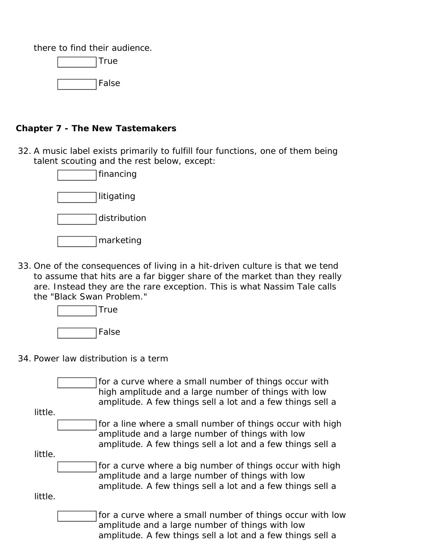there to find their audience.

True False

## **Chapter 7 - The New Tastemakers**

32. A music label exists primarily to fulfill four functions, one of them being talent scouting and the rest below, except:



33. One of the consequences of living in a hit-driven culture is that we tend to assume that hits are a far bigger share of the market than they really are. Instead they are the rare exception. This is what Nassim Tale calls the "Black Swan Problem."



#### 34. Power law distribution is a term

for a curve where a small number of things occur with high amplitude and a large number of things with low amplitude. A few things sell a lot and a few things sell a little. for a line where a small number of things occur with high amplitude and a large number of things with low amplitude. A few things sell a lot and a few things sell a little. for a curve where a big number of things occur with high amplitude and a large number of things with low amplitude. A few things sell a lot and a few things sell a little. for a curve where a small number of things occur with low amplitude and a large number of things with low amplitude. A few things sell a lot and a few things sell a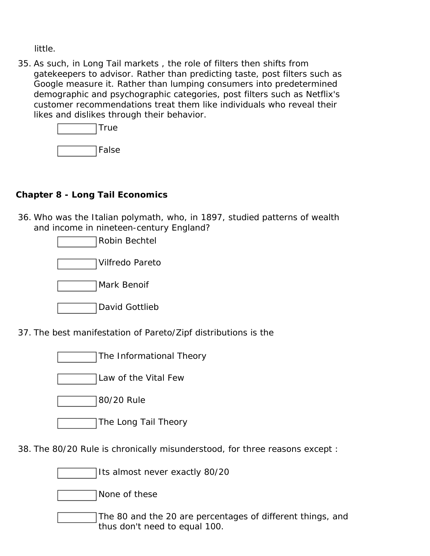little.

35. As such, in Long Tail markets , the role of filters then shifts from gatekeepers to advisor. Rather than predicting taste, post filters such as Google measure it. Rather than lumping consumers into predetermined demographic and psychographic categories, post filters such as Netflix's customer recommendations treat them like individuals who reveal their likes and dislikes through their behavior.

| True  |
|-------|
| False |

# **Chapter 8 - Long Tail Economics**

36. Who was the Italian polymath, who, in 1897, studied patterns of wealth and income in nineteen-century England?



37. The best manifestation of Pareto/Zipf distributions is the

- The Informational Theory
- Law of the Vital Few
- 80/20 Rule
- The Long Tail Theory

38. The 80/20 Rule is chronically misunderstood, for three reasons except :

Its almost never exactly 80/20

None of these

The 80 and the 20 are percentages of different things, and thus don't need to equal 100.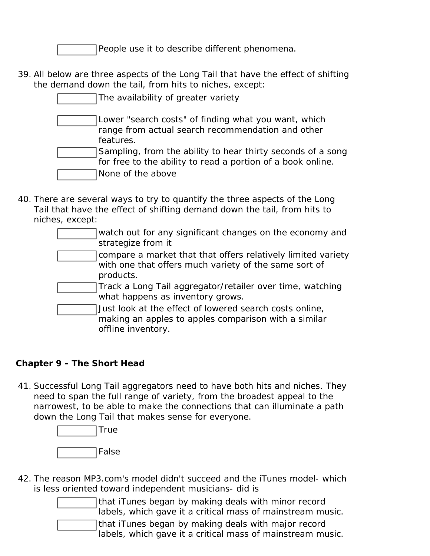People use it to describe different phenomena.

39. All below are three aspects of the Long Tail that have the effect of shifting the demand down the tail, from hits to niches, except:

| The availability of greater variety                                                                                        |
|----------------------------------------------------------------------------------------------------------------------------|
| Lower "search costs" of finding what you want, which<br>range from actual search recommendation and other<br>features.     |
| Sampling, from the ability to hear thirty seconds of a song<br>for free to the ability to read a portion of a book online. |
| None of the above                                                                                                          |

- 40. There are several ways to try to quantify the three aspects of the Long Tail that have the effect of shifting demand down the tail, from hits to niches, except:
	- watch out for any significant changes on the economy and strategize from it
	- compare a market that that offers relatively limited variety with one that offers much variety of the same sort of products.
	- Track a Long Tail aggregator/retailer over time, watching what happens as inventory grows.
	- Just look at the effect of lowered search costs online, making an apples to apples comparison with a similar offline inventory.

# **Chapter 9 - The Short Head**

41. Successful Long Tail aggregators need to have both hits and niches. They need to span the full range of variety, from the broadest appeal to the narrowest, to be able to make the connections that can illuminate a path down the Long Tail that makes sense for everyone.



- 42. The reason MP3.com's model didn't succeed and the iTunes model- which is less oriented toward independent musicians- did is
	- that iTunes began by making deals with minor record labels, which gave it a critical mass of mainstream music. that iTunes began by making deals with major record labels, which gave it a critical mass of mainstream music.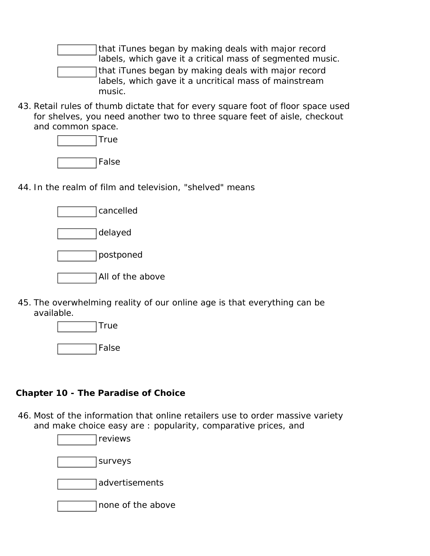that iTunes began by making deals with major record labels, which gave it a critical mass of segmented music. that iTunes began by making deals with major record labels, which gave it a uncritical mass of mainstream music.

43. Retail rules of thumb dictate that for every square foot of floor space used for shelves, you need another two to three square feet of aisle, checkout and common space.

| True  |
|-------|
| False |

44. In the realm of film and television, "shelved" means

| cancelled        |
|------------------|
| delayed          |
| postponed        |
| All of the above |

45. The overwhelming reality of our online age is that everything can be available.

| True  |
|-------|
|       |
| False |

#### **Chapter 10 - The Paradise of Choice**

46. Most of the information that online retailers use to order massive variety and make choice easy are : popularity, comparative prices, and

> reviews surveys advertisements none of the above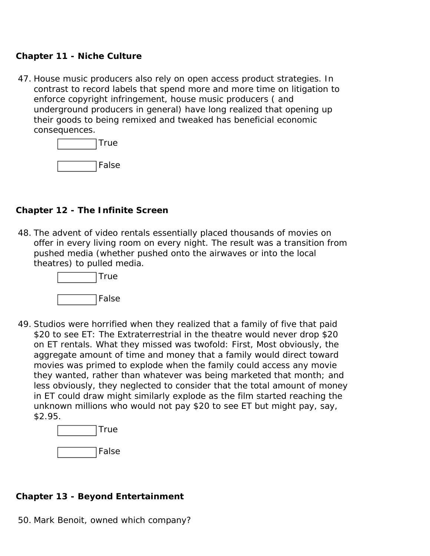#### **Chapter 11 - Niche Culture**

47. House music producers also rely on open access product strategies. In contrast to record labels that spend more and more time on litigation to enforce copyright infringement, house music producers ( and underground producers in general) have long realized that opening up their goods to being remixed and tweaked has beneficial economic consequences.

| True  |
|-------|
| False |

#### **Chapter 12 - The Infinite Screen**

48. The advent of video rentals essentially placed thousands of movies on offer in every living room on every night. The result was a transition from pushed media (whether pushed onto the airwaves or into the local theatres) to pulled media.



49. Studios were horrified when they realized that a family of five that paid \$20 to see ET: The Extraterrestrial in the theatre would never drop \$20 on ET rentals. What they missed was twofold: First, Most obviously, the aggregate amount of time and money that a family would direct toward movies was primed to explode when the family could access any movie they wanted, rather than whatever was being marketed that month; and less obviously, they neglected to consider that the total amount of money in ET could draw might similarly explode as the film started reaching the unknown millions who would not pay \$20 to see ET but might pay, say, \$2.95.



# **Chapter 13 - Beyond Entertainment**

50. Mark Benoit, owned which company?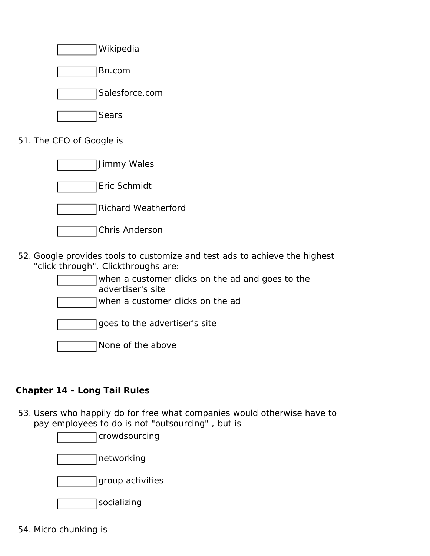

51. The CEO of Google is

| Jimmy Wales                |
|----------------------------|
| Eric Schmidt               |
| <b>Richard Weatherford</b> |
| Chris Anderson             |

52. Google provides tools to customize and test ads to achieve the highest "click through". Clickthroughs are:

| when a customer clicks on the ad and goes to the<br>advertiser's site |  |
|-----------------------------------------------------------------------|--|
| when a customer clicks on the ad                                      |  |
| goes to the advertiser's site                                         |  |
| None of the above                                                     |  |

# **Chapter 14 - Long Tail Rules**

53. Users who happily do for free what companies would otherwise have to pay employees to do is not "outsourcing" , but is

crowdsourcing

networking

group activities

socializing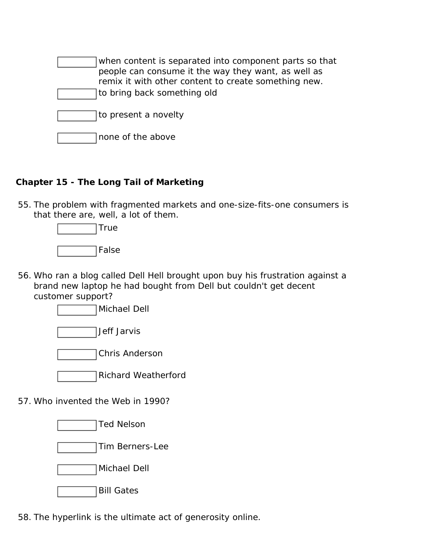| when content is separated into component parts so that<br>people can consume it the way they want, as well as<br>remix it with other content to create something new.<br>to bring back something old |
|------------------------------------------------------------------------------------------------------------------------------------------------------------------------------------------------------|
| to present a novelty                                                                                                                                                                                 |
| none of the above                                                                                                                                                                                    |

# **Chapter 15 - The Long Tail of Marketing**

55. The problem with fragmented markets and one-size-fits-one consumers is that there are, well, a lot of them.

| True  |
|-------|
| False |

56. Who ran a blog called Dell Hell brought upon buy his frustration against a brand new laptop he had bought from Dell but couldn't get decent customer support?

Michael Dell





Richard Weatherford

57. Who invented the Web in 1990?

Ted Nelson

- Tim Berners-Lee
- Michael Dell
- Bill Gates

58. The hyperlink is the ultimate act of generosity online.